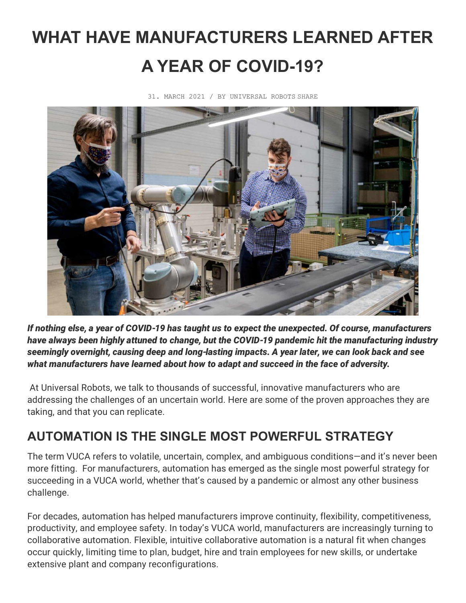# **WHAT HAVE MANUFACTURERS LEARNED AFTER A YEAR OF COVID-19?**



31. MARCH 2021 / BY UNIVERSAL ROBOTS SHARE

*If nothing else, a year of COVID-19 has taught us to expect the unexpected. Of course, manufacturers have always been highly attuned to change, but the COVID-19 pandemic hit the manufacturing industry seemingly overnight, causing deep and long-lasting impacts. A year later, we can look back and see what manufacturers have learned about how to adapt and succeed in the face of adversity.*

At Universal Robots, we talk to thousands of successful, innovative manufacturers who are addressing the challenges of an uncertain world. Here are some of the proven approaches they are taking, and that you can replicate.

## **AUTOMATION IS THE SINGLE MOST POWERFUL STRATEGY**

The term VUCA refers to volatile, uncertain, complex, and ambiguous conditions—and it's never been more fitting. For manufacturers, automation has emerged as the single most powerful strategy for succeeding in a VUCA world, whether that's caused by a pandemic or almost any other business challenge.

For decades, automation has helped manufacturers improve continuity, flexibility, competitiveness, productivity, and employee safety. In today's VUCA world, manufacturers are increasingly turning to collaborative automation. Flexible, intuitive collaborative automation is a natural fit when changes occur quickly, limiting time to plan, budget, hire and train employees for new skills, or undertake extensive plant and company reconfigurations.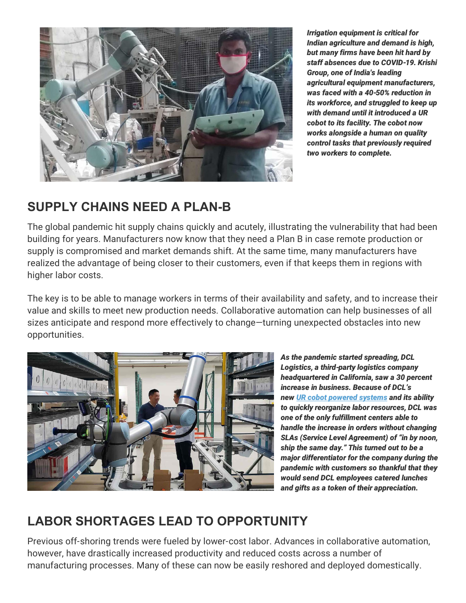

*Irrigation equipment is critical for Indian agriculture and demand is high, but many firms have been hit hard by staff absences due to COVID-19. Krishi Group, one of India's leading agricultural equipment manufacturers, was faced with a 40-50% reduction in its workforce, and struggled to keep up with demand until it introduced a UR cobot to its facility. The cobot now works alongside a human on quality control tasks that previously required two workers to complete.*

#### **SUPPLY CHAINS NEED A PLAN-B**

The global pandemic hit supply chains quickly and acutely, illustrating the vulnerability that had been building for years. Manufacturers now know that they need a Plan B in case remote production or supply is compromised and market demands shift. At the same time, many manufacturers have realized the advantage of being closer to their customers, even if that keeps them in regions with higher labor costs.

The key is to be able to manage workers in terms of their availability and safety, and to increase their value and skills to meet new production needs. Collaborative automation can help businesses of all sizes anticipate and respond more effectively to change—turning unexpected obstacles into new opportunities.



*As the pandemic started spreading, DCL Logistics, a third-party logistics company headquartered in California, saw a 30 percent increase in business. Because of DCL's new [UR cobot powered systems](https://www.universal-robots.com/case-stories/dcl-logistics/) and its ability to quickly reorganize labor resources, DCL was one of the only fulfillment centers able to handle the increase in orders without changing SLAs (Service Level Agreement) of "in by noon, ship the same day." This turned out to be a major differentiator for the company during the pandemic with customers so thankful that they would send DCL employees catered lunches and gifts as a token of their appreciation.*

#### **LABOR SHORTAGES LEAD TO OPPORTUNITY**

Previous off-shoring trends were fueled by lower-cost labor. Advances in collaborative automation, however, have drastically increased productivity and reduced costs across a number of manufacturing processes. Many of these can now be easily reshored and deployed domestically.